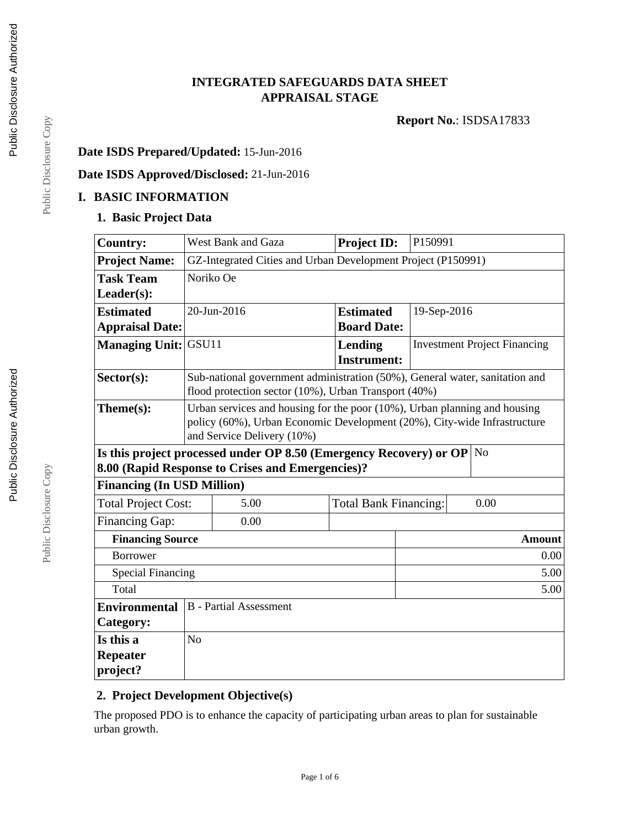# **INTEGRATED SAFEGUARDS DATA SHEET APPRAISAL STAGE**

**Report No.**: ISDSA17833

# **Date ISDS Prepared/Updated:** 15-Jun-2016

# **Date ISDS Approved/Disclosed:** 21-Jun-2016

#### **I. BASIC INFORMATION**

#### **1. Basic Project Data**

| <b>Country:</b>                                                               |                                                                                                                                                                                     | West Bank and Gaza | <b>Project ID:</b> |  | P150991                             |               |  |
|-------------------------------------------------------------------------------|-------------------------------------------------------------------------------------------------------------------------------------------------------------------------------------|--------------------|--------------------|--|-------------------------------------|---------------|--|
| <b>Project Name:</b>                                                          | GZ-Integrated Cities and Urban Development Project (P150991)                                                                                                                        |                    |                    |  |                                     |               |  |
| <b>Task Team</b>                                                              | Noriko Oe                                                                                                                                                                           |                    |                    |  |                                     |               |  |
| Leader(s):                                                                    |                                                                                                                                                                                     |                    |                    |  |                                     |               |  |
| <b>Estimated</b>                                                              | 20-Jun-2016<br><b>Estimated</b><br>19-Sep-2016                                                                                                                                      |                    |                    |  |                                     |               |  |
| <b>Appraisal Date:</b>                                                        |                                                                                                                                                                                     |                    | <b>Board Date:</b> |  |                                     |               |  |
| <b>Managing Unit:</b>                                                         | GSU11                                                                                                                                                                               |                    | Lending            |  | <b>Investment Project Financing</b> |               |  |
|                                                                               |                                                                                                                                                                                     |                    | <b>Instrument:</b> |  |                                     |               |  |
| $Sector(s)$ :                                                                 | Sub-national government administration (50%), General water, sanitation and<br>flood protection sector (10%), Urban Transport (40%)                                                 |                    |                    |  |                                     |               |  |
| Theme(s):                                                                     | Urban services and housing for the poor (10%), Urban planning and housing<br>policy (60%), Urban Economic Development (20%), City-wide Infrastructure<br>and Service Delivery (10%) |                    |                    |  |                                     |               |  |
| Is this project processed under OP 8.50 (Emergency Recovery) or OP $\vert$ No |                                                                                                                                                                                     |                    |                    |  |                                     |               |  |
|                                                                               | 8.00 (Rapid Response to Crises and Emergencies)?                                                                                                                                    |                    |                    |  |                                     |               |  |
| <b>Financing (In USD Million)</b>                                             |                                                                                                                                                                                     |                    |                    |  |                                     |               |  |
| <b>Total Project Cost:</b>                                                    | 5.00<br><b>Total Bank Financing:</b><br>0.00                                                                                                                                        |                    |                    |  |                                     |               |  |
| Financing Gap:                                                                |                                                                                                                                                                                     | 0.00               |                    |  |                                     |               |  |
|                                                                               | <b>Financing Source</b>                                                                                                                                                             |                    |                    |  |                                     | <b>Amount</b> |  |
| <b>Borrower</b>                                                               |                                                                                                                                                                                     |                    |                    |  | 0.00                                |               |  |
| <b>Special Financing</b><br>5.00                                              |                                                                                                                                                                                     |                    |                    |  |                                     |               |  |
| Total<br>5.00                                                                 |                                                                                                                                                                                     |                    |                    |  |                                     |               |  |
| <b>Environmental</b><br><b>B</b> - Partial Assessment                         |                                                                                                                                                                                     |                    |                    |  |                                     |               |  |
| <b>Category:</b>                                                              |                                                                                                                                                                                     |                    |                    |  |                                     |               |  |
| Is this a                                                                     | N <sub>o</sub>                                                                                                                                                                      |                    |                    |  |                                     |               |  |
| <b>Repeater</b>                                                               |                                                                                                                                                                                     |                    |                    |  |                                     |               |  |
| project?                                                                      |                                                                                                                                                                                     |                    |                    |  |                                     |               |  |

## **2. Project Development Objective(s)**

The proposed PDO is to enhance the capacity of participating urban areas to plan for sustainable urban growth.

Page 1 of 6

Public Disclosure Copy

Public Disclosure Copy Public Disclosure Copy

Public Disclosure Copy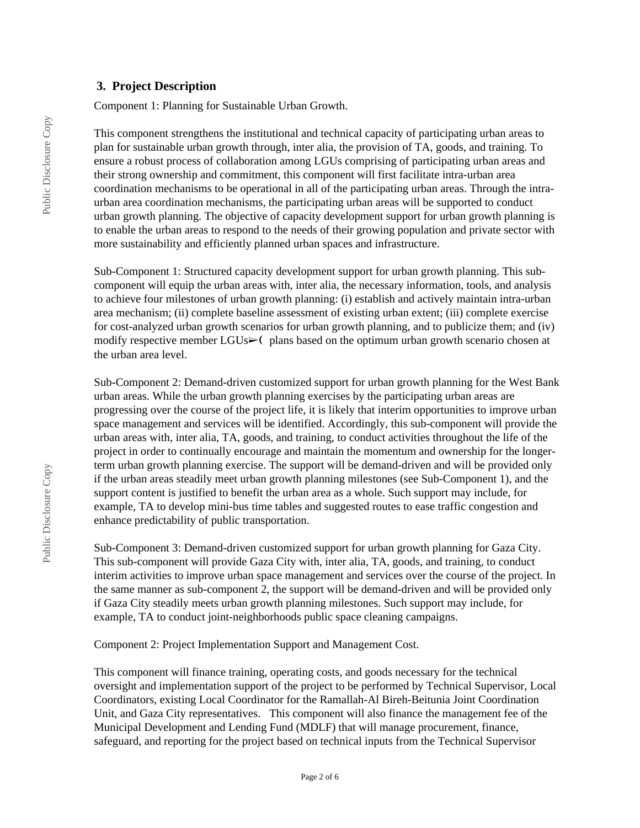#### **3. Project Description**

Component 1: Planning for Sustainable Urban Growth.

This component strengthens the institutional and technical capacity of participating urban areas to plan for sustainable urban growth through, inter alia, the provision of TA, goods, and training. To ensure a robust process of collaboration among LGUs comprising of participating urban areas and their strong ownership and commitment, this component will first facilitate intra-urban area coordination mechanisms to be operational in all of the participating urban areas. Through the intraurban area coordination mechanisms, the participating urban areas will be supported to conduct urban growth planning. The objective of capacity development support for urban growth planning is to enable the urban areas to respond to the needs of their growing population and private sector with more sustainability and efficiently planned urban spaces and infrastructure.

Sub-Component 1: Structured capacity development support for urban growth planning. This subcomponent will equip the urban areas with, inter alia, the necessary information, tools, and analysis to achieve four milestones of urban growth planning: (i) establish and actively maintain intra-urban area mechanism; (ii) complete baseline assessment of existing urban extent; (iii) complete exercise for cost-analyzed urban growth scenarios for urban growth planning, and to publicize them; and (iv) modify respective member LGUs► (plans based on the optimum urban growth scenario chosen at the urban area level.

Sub-Component 2: Demand-driven customized support for urban growth planning for the West Bank urban areas. While the urban growth planning exercises by the participating urban areas are progressing over the course of the project life, it is likely that interim opportunities to improve urban space management and services will be identified. Accordingly, this sub-component will provide the urban areas with, inter alia, TA, goods, and training, to conduct activities throughout the life of the project in order to continually encourage and maintain the momentum and ownership for the longerterm urban growth planning exercise. The support will be demand-driven and will be provided only if the urban areas steadily meet urban growth planning milestones (see Sub-Component 1), and the support content is justified to benefit the urban area as a whole. Such support may include, for example, TA to develop mini-bus time tables and suggested routes to ease traffic congestion and enhance predictability of public transportation.

Sub-Component 3: Demand-driven customized support for urban growth planning for Gaza City. This sub-component will provide Gaza City with, inter alia, TA, goods, and training, to conduct interim activities to improve urban space management and services over the course of the project. In the same manner as sub-component 2, the support will be demand-driven and will be provided only if Gaza City steadily meets urban growth planning milestones. Such support may include, for example, TA to conduct joint-neighborhoods public space cleaning campaigns.

Component 2: Project Implementation Support and Management Cost.

This component will finance training, operating costs, and goods necessary for the technical oversight and implementation support of the project to be performed by Technical Supervisor, Local Coordinators, existing Local Coordinator for the Ramallah-Al Bireh-Beitunia Joint Coordination Unit, and Gaza City representatives. This component will also finance the management fee of the Municipal Development and Lending Fund (MDLF) that will manage procurement, finance, safeguard, and reporting for the project based on technical inputs from the Technical Supervisor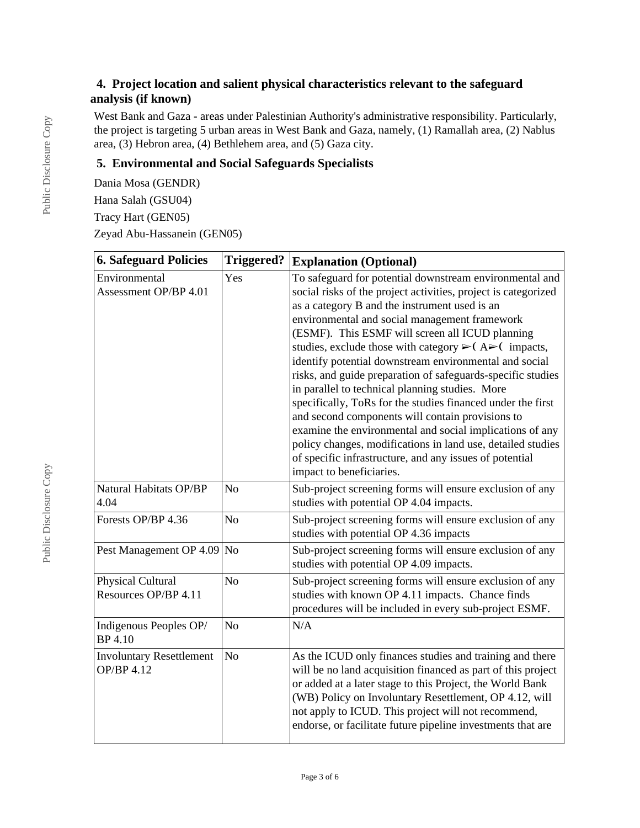# **4. Project location and salient physical characteristics relevant to the safeguard analysis (if known)**

West Bank and Gaza - areas under Palestinian Authority's administrative responsibility. Particularly, the project is targeting 5 urban areas in West Bank and Gaza, namely, (1) Ramallah area, (2) Nablus area, (3) Hebron area, (4) Bethlehem area, and (5) Gaza city.

## **5. Environmental and Social Safeguards Specialists**

Dania Mosa (GENDR) Hana Salah (GSU04) Tracy Hart (GEN05) Zeyad Abu-Hassanein (GEN05)

| <b>6. Safeguard Policies</b>                         | <b>Triggered?</b> | <b>Explanation (Optional)</b>                                                                                                                                                                                                                                                                                                                                                                                                                                                                                                                                                                                                                                                                                                                                                                                                                                                          |  |  |
|------------------------------------------------------|-------------------|----------------------------------------------------------------------------------------------------------------------------------------------------------------------------------------------------------------------------------------------------------------------------------------------------------------------------------------------------------------------------------------------------------------------------------------------------------------------------------------------------------------------------------------------------------------------------------------------------------------------------------------------------------------------------------------------------------------------------------------------------------------------------------------------------------------------------------------------------------------------------------------|--|--|
| Environmental<br>Assessment OP/BP 4.01               | Yes               | To safeguard for potential downstream environmental and<br>social risks of the project activities, project is categorized<br>as a category B and the instrument used is an<br>environmental and social management framework<br>(ESMF). This ESMF will screen all ICUD planning<br>studies, exclude those with category $\triangleright$ (A $\triangleright$ (impacts,<br>identify potential downstream environmental and social<br>risks, and guide preparation of safeguards-specific studies<br>in parallel to technical planning studies. More<br>specifically, ToRs for the studies financed under the first<br>and second components will contain provisions to<br>examine the environmental and social implications of any<br>policy changes, modifications in land use, detailed studies<br>of specific infrastructure, and any issues of potential<br>impact to beneficiaries. |  |  |
| Natural Habitats OP/BP<br>4.04                       | N <sub>o</sub>    | Sub-project screening forms will ensure exclusion of any<br>studies with potential OP 4.04 impacts.                                                                                                                                                                                                                                                                                                                                                                                                                                                                                                                                                                                                                                                                                                                                                                                    |  |  |
| Forests OP/BP 4.36                                   | N <sub>o</sub>    | Sub-project screening forms will ensure exclusion of any<br>studies with potential OP 4.36 impacts                                                                                                                                                                                                                                                                                                                                                                                                                                                                                                                                                                                                                                                                                                                                                                                     |  |  |
| Pest Management OP 4.09                              | N <sub>o</sub>    | Sub-project screening forms will ensure exclusion of any<br>studies with potential OP 4.09 impacts.                                                                                                                                                                                                                                                                                                                                                                                                                                                                                                                                                                                                                                                                                                                                                                                    |  |  |
| Physical Cultural<br>Resources OP/BP 4.11            | No                | Sub-project screening forms will ensure exclusion of any<br>studies with known OP 4.11 impacts. Chance finds<br>procedures will be included in every sub-project ESMF.                                                                                                                                                                                                                                                                                                                                                                                                                                                                                                                                                                                                                                                                                                                 |  |  |
| Indigenous Peoples OP/<br><b>BP</b> 4.10             | N <sub>o</sub>    | N/A                                                                                                                                                                                                                                                                                                                                                                                                                                                                                                                                                                                                                                                                                                                                                                                                                                                                                    |  |  |
| <b>Involuntary Resettlement</b><br><b>OP/BP 4.12</b> | N <sub>o</sub>    | As the ICUD only finances studies and training and there<br>will be no land acquisition financed as part of this project<br>or added at a later stage to this Project, the World Bank<br>(WB) Policy on Involuntary Resettlement, OP 4.12, will<br>not apply to ICUD. This project will not recommend,<br>endorse, or facilitate future pipeline investments that are                                                                                                                                                                                                                                                                                                                                                                                                                                                                                                                  |  |  |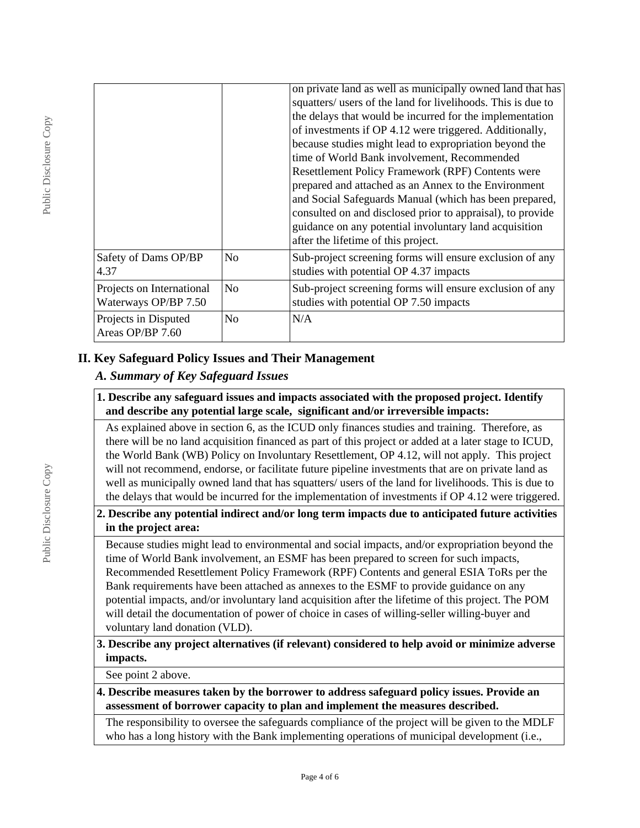|                                                   |                | on private land as well as municipally owned land that has<br>squatters/ users of the land for livelihoods. This is due to<br>the delays that would be incurred for the implementation<br>of investments if OP 4.12 were triggered. Additionally,<br>because studies might lead to expropriation beyond the<br>time of World Bank involvement, Recommended<br>Resettlement Policy Framework (RPF) Contents were<br>prepared and attached as an Annex to the Environment<br>and Social Safeguards Manual (which has been prepared,<br>consulted on and disclosed prior to appraisal), to provide<br>guidance on any potential involuntary land acquisition<br>after the lifetime of this project. |
|---------------------------------------------------|----------------|--------------------------------------------------------------------------------------------------------------------------------------------------------------------------------------------------------------------------------------------------------------------------------------------------------------------------------------------------------------------------------------------------------------------------------------------------------------------------------------------------------------------------------------------------------------------------------------------------------------------------------------------------------------------------------------------------|
| Safety of Dams OP/BP<br>4.37                      | No             | Sub-project screening forms will ensure exclusion of any<br>studies with potential OP 4.37 impacts                                                                                                                                                                                                                                                                                                                                                                                                                                                                                                                                                                                               |
| Projects on International<br>Waterways OP/BP 7.50 | N <sub>o</sub> | Sub-project screening forms will ensure exclusion of any<br>studies with potential OP 7.50 impacts                                                                                                                                                                                                                                                                                                                                                                                                                                                                                                                                                                                               |
| Projects in Disputed<br>Areas OP/BP 7.60          | N <sub>o</sub> | N/A                                                                                                                                                                                                                                                                                                                                                                                                                                                                                                                                                                                                                                                                                              |

## **II. Key Safeguard Policy Issues and Their Management**

# *A. Summary of Key Safeguard Issues*

#### **1. Describe any safeguard issues and impacts associated with the proposed project. Identify and describe any potential large scale, significant and/or irreversible impacts:**

As explained above in section 6, as the ICUD only finances studies and training. Therefore, as there will be no land acquisition financed as part of this project or added at a later stage to ICUD, the World Bank (WB) Policy on Involuntary Resettlement, OP 4.12, will not apply. This project will not recommend, endorse, or facilitate future pipeline investments that are on private land as well as municipally owned land that has squatters/ users of the land for livelihoods. This is due to the delays that would be incurred for the implementation of investments if OP 4.12 were triggered.

## **2. Describe any potential indirect and/or long term impacts due to anticipated future activities in the project area:**

Because studies might lead to environmental and social impacts, and/or expropriation beyond the time of World Bank involvement, an ESMF has been prepared to screen for such impacts, Recommended Resettlement Policy Framework (RPF) Contents and general ESIA ToRs per the Bank requirements have been attached as annexes to the ESMF to provide guidance on any potential impacts, and/or involuntary land acquisition after the lifetime of this project. The POM will detail the documentation of power of choice in cases of willing-seller willing-buyer and voluntary land donation (VLD).

## **3. Describe any project alternatives (if relevant) considered to help avoid or minimize adverse impacts.**

See point 2 above.

**4. Describe measures taken by the borrower to address safeguard policy issues. Provide an assessment of borrower capacity to plan and implement the measures described.**

The responsibility to oversee the safeguards compliance of the project will be given to the MDLF who has a long history with the Bank implementing operations of municipal development (i.e.,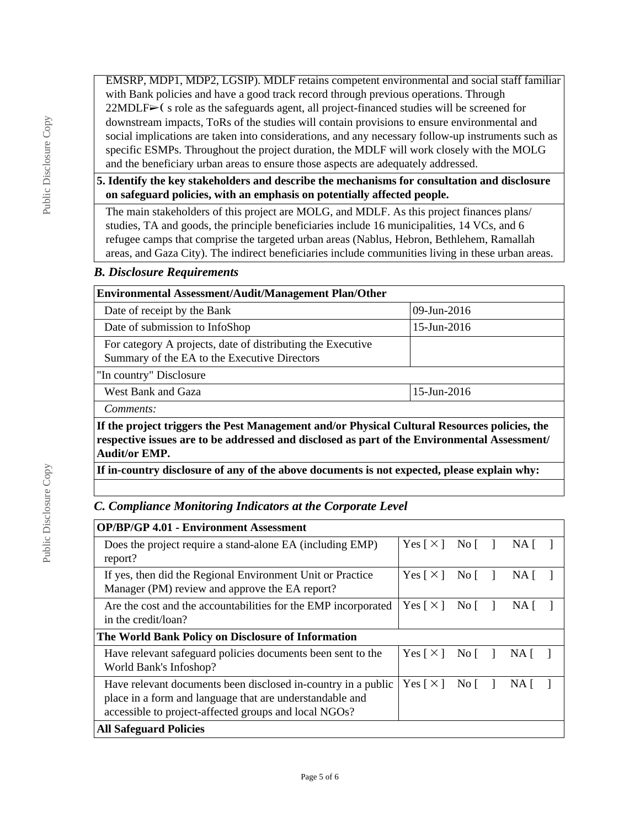EMSRP, MDP1, MDP2, LGSIP). MDLF retains competent environmental and social staff familiar with Bank policies and have a good track record through previous operations. Through  $22MDLF$   $\triangleright$  ( s role as the safeguards agent, all project-financed studies will be screened for downstream impacts, ToRs of the studies will contain provisions to ensure environmental and social implications are taken into considerations, and any necessary follow-up instruments such as specific ESMPs. Throughout the project duration, the MDLF will work closely with the MOLG and the beneficiary urban areas to ensure those aspects are adequately addressed.

#### **5. Identify the key stakeholders and describe the mechanisms for consultation and disclosure on safeguard policies, with an emphasis on potentially affected people.**

The main stakeholders of this project are MOLG, and MDLF. As this project finances plans/ studies, TA and goods, the principle beneficiaries include 16 municipalities, 14 VCs, and 6 refugee camps that comprise the targeted urban areas (Nablus, Hebron, Bethlehem, Ramallah areas, and Gaza City). The indirect beneficiaries include communities living in these urban areas.

#### *B. Disclosure Requirements*

| <b>Environmental Assessment/Audit/Management Plan/Other</b>                                                                                                                                                          |             |  |  |  |  |
|----------------------------------------------------------------------------------------------------------------------------------------------------------------------------------------------------------------------|-------------|--|--|--|--|
| Date of receipt by the Bank                                                                                                                                                                                          | 09-Jun-2016 |  |  |  |  |
| Date of submission to InfoShop                                                                                                                                                                                       | 15-Jun-2016 |  |  |  |  |
| For category A projects, date of distributing the Executive<br>Summary of the EA to the Executive Directors                                                                                                          |             |  |  |  |  |
| "In country" Disclosure                                                                                                                                                                                              |             |  |  |  |  |
| West Bank and Gaza                                                                                                                                                                                                   | 15-Jun-2016 |  |  |  |  |
| Comments:                                                                                                                                                                                                            |             |  |  |  |  |
| If the project triggers the Pest Management and/or Physical Cultural Resources policies, the<br>respective issues are to be addressed and disclosed as part of the Environmental Assessment/<br><b>Audit/or EMP.</b> |             |  |  |  |  |
| If in-country disclosure of any of the above documents is not expected, please explain why:                                                                                                                          |             |  |  |  |  |

## *C. Compliance Monitoring Indicators at the Corporate Level*

| <b>OP/BP/GP 4.01 - Environment Assessment</b>                                                                                                                                      |                            |                                           |      |  |
|------------------------------------------------------------------------------------------------------------------------------------------------------------------------------------|----------------------------|-------------------------------------------|------|--|
| Does the project require a stand-alone EA (including EMP)<br>report?                                                                                                               | Yes $\lceil \times \rceil$ | No L                                      | NA.  |  |
| If yes, then did the Regional Environment Unit or Practice<br>Manager (PM) review and approve the EA report?                                                                       | Yes $\lceil \times \rceil$ | $Nof$ 1                                   | NA.  |  |
| Are the cost and the accountabilities for the EMP incorporated<br>in the credit/loan?                                                                                              |                            | Yes $\lceil \times \rceil$<br>No $\lceil$ | NA.  |  |
| The World Bank Policy on Disclosure of Information                                                                                                                                 |                            |                                           |      |  |
| Have relevant safeguard policies documents been sent to the<br>World Bank's Infoshop?                                                                                              | Yes $\lceil \times \rceil$ | No $\lceil$                               | NA I |  |
| Have relevant documents been disclosed in-country in a public<br>place in a form and language that are understandable and<br>accessible to project-affected groups and local NGOs? | Yes $\lceil \times \rceil$ | $Nof$ 1                                   | NA I |  |
| <b>All Safeguard Policies</b>                                                                                                                                                      |                            |                                           |      |  |